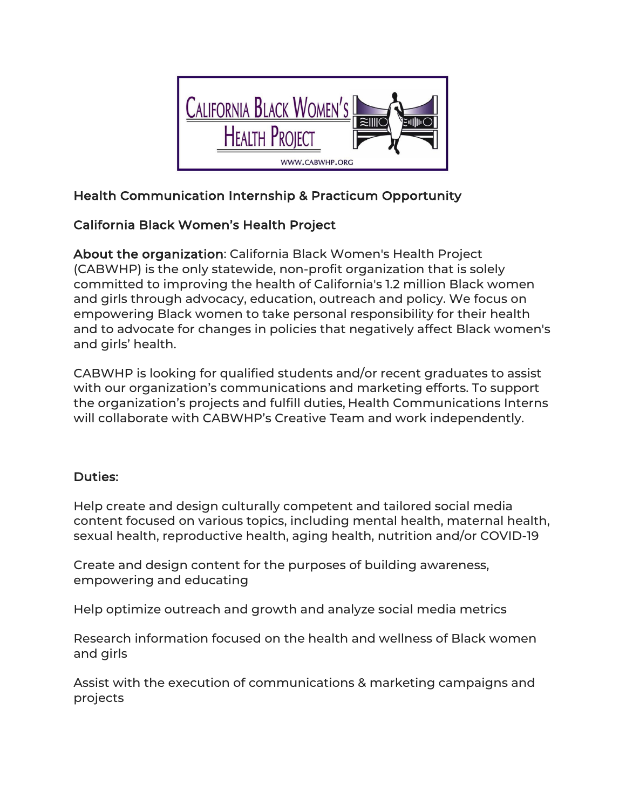

# Health Communication Internship & Practicum Opportunity

## California Black Women's Health Project

About the organization: California Black Women's Health Project (CABWHP) is the only statewide, non-profit organization that is solely committed to improving the health of California's 1.2 million Black women and girls through advocacy, education, outreach and policy. We focus on empowering Black women to take personal responsibility for their health and to advocate for changes in policies that negatively affect Black women's and girls' health.

CABWHP is looking for qualified students and/or recent graduates to assist with our organization's communications and marketing efforts. To support the organization's projects and fulfill duties, Health Communications Interns will collaborate with CABWHP's Creative Team and work independently.

## Duties:

Help create and design culturally competent and tailored social media content focused on various topics, including mental health, maternal health, sexual health, reproductive health, aging health, nutrition and/or COVID-19

Create and design content for the purposes of building awareness, empowering and educating

Help optimize outreach and growth and analyze social media metrics

Research information focused on the health and wellness of Black women and girls

Assist with the execution of communications & marketing campaigns and projects